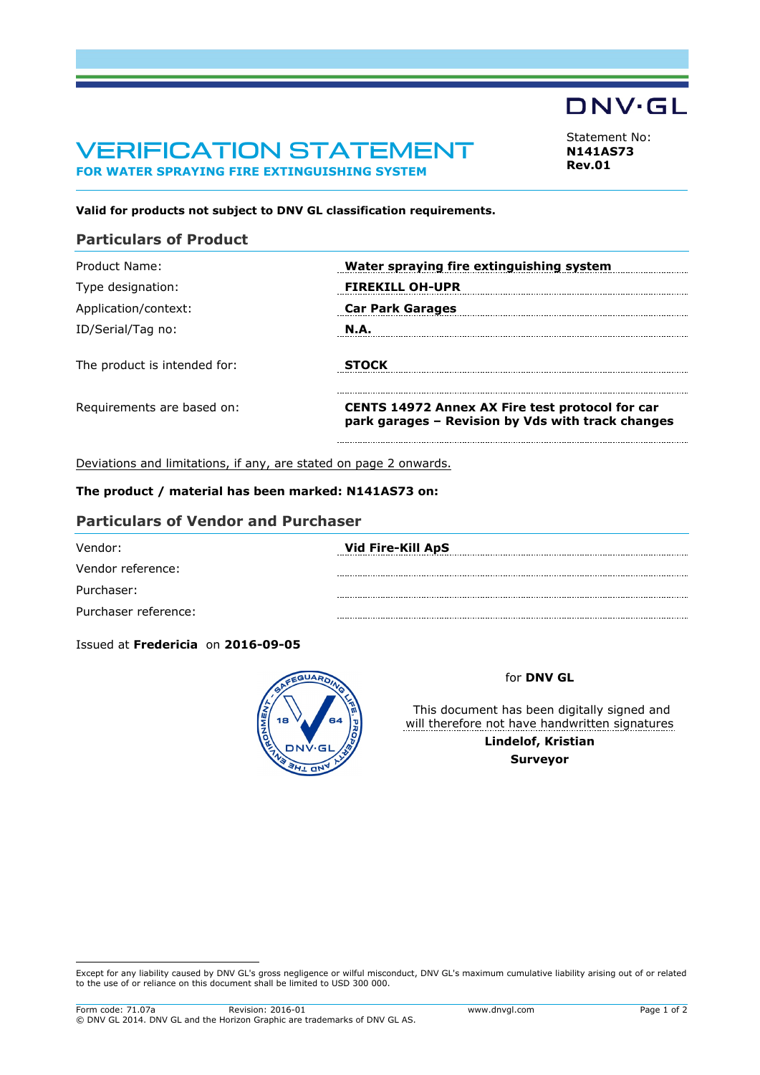# VERIFICATION STATEMENT **FOR WATER SPRAYING FIRE EXTINGUISHING SYSTEM**

**DNV·GL** 

<span id="page-0-0"></span>Statement No: **N141AS73 Rev.01**

### **Valid for products not subject to DNV GL classification requirements.**

# **Particulars of Product**

| Product Name:                | Water spraying fire extinguishing system                                                                    |
|------------------------------|-------------------------------------------------------------------------------------------------------------|
| Type designation:            | <b>FIREKILL OH-UPR</b>                                                                                      |
| Application/context:         | <b>Car Park Garages</b>                                                                                     |
| ID/Serial/Tag no:            | <b>N.A.</b>                                                                                                 |
| The product is intended for: | <b>STOCK</b>                                                                                                |
| Requirements are based on:   | <b>CENTS 14972 Annex AX Fire test protocol for car</b><br>park garages - Revision by Vds with track changes |
|                              |                                                                                                             |

Deviations and limitations, if any, are stated on page 2 onwards.

## **The product / material has been marked: N141AS73 on:**

## **Particulars of Vendor and Purchaser**

| Vendor:              | Vid Fire-Kill ApS |
|----------------------|-------------------|
| Vendor reference:    |                   |
| Purchaser:           |                   |
| Purchaser reference: |                   |

Issued at **Fredericia** on **2016-09-05**



### for **DNV GL**

This document has been digitally signed and will therefore not have handwritten signatures **Lindelof, Kristian Surveyor**

Except for any liability caused by DNV GL's gross negligence or wilful misconduct, DNV GL's maximum cumulative liability arising out of or related to the use of or reliance on this document shall be limited to USD 300 000.